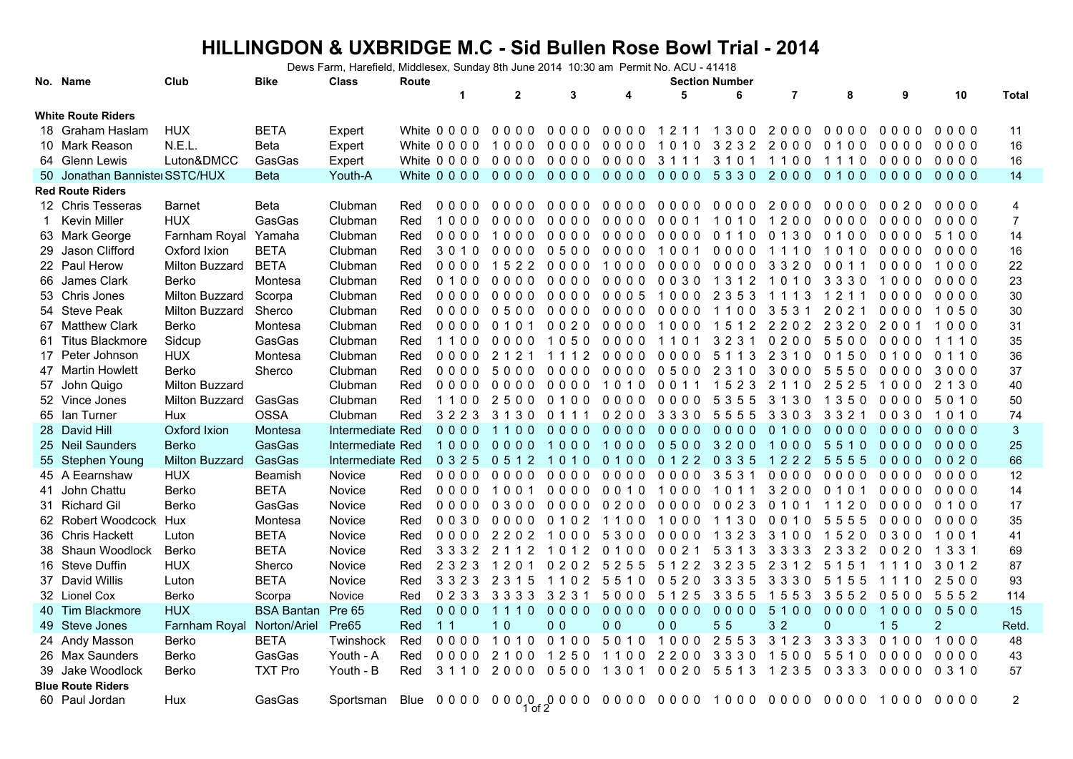## **HILLINGDON & UXBRIDGE M.C - Sid Bullen Rose Bowl Trial - 2014**

Dews Farm, Harefield, Middlesex, Sunday 8th June 2014 10:30 am Permit No. ACU - 41418

|                           | No. Name                       | Club                  | <b>Bike</b>       | <b>Class</b>     | Route |                | <b>Section Number</b>                    |                |                |                |           |                |          |           |                |                |
|---------------------------|--------------------------------|-----------------------|-------------------|------------------|-------|----------------|------------------------------------------|----------------|----------------|----------------|-----------|----------------|----------|-----------|----------------|----------------|
|                           |                                |                       |                   |                  |       | 1              | $\mathbf{2}$                             | 3              | 4              | 5              | 6         | $\overline{7}$ | 8        | 9         | 10             | Total          |
| <b>White Route Riders</b> |                                |                       |                   |                  |       |                |                                          |                |                |                |           |                |          |           |                |                |
|                           | 18 Graham Haslam               | <b>HUX</b>            | <b>BETA</b>       | Expert           |       | White 0 0 0 0  | 0000                                     | 0000           | 0000           | 1211           | 1300      | 2000           | 0000     | 0000      | 0000           | 11             |
|                           | 10 Mark Reason                 | N.E.L.                | <b>Beta</b>       | Expert           |       | White 0 0 0 0  | 1000                                     | 0000           | 0000           | 1010           | 3232 2000 |                | 0100     | 0000      | 0000           | 16             |
|                           | 64 Glenn Lewis                 | Luton&DMCC            | GasGas            | Expert           |       |                | White 0000 0000 0000                     |                | 00003111       |                | 3101 1100 |                | 1110     | 0000 0000 |                | 16             |
|                           | 50 Jonathan Bannister SSTC/HUX |                       | <b>Beta</b>       | Youth-A          |       |                | White 0000 0000 0000 0000 0000 5330 2000 |                |                |                |           |                | 0100     | 0000      | 0000           | 14             |
|                           | <b>Red Route Riders</b>        |                       |                   |                  |       |                |                                          |                |                |                |           |                |          |           |                |                |
|                           | 12 Chris Tesseras              | <b>Barnet</b>         | <b>Beta</b>       | Clubman          | Red   | 0000           | 0000                                     | 0000           |                | 0000 0000      | 0000      | 2000           | 0000     | 0020      | 0000           | 4              |
|                           | Kevin Miller                   | <b>HUX</b>            | GasGas            | Clubman          | Red   | 1000           | 0000                                     | 0000           | 0000           | 0001           | 1010      | 1200           | 0000     | 0000      | 0000           | $\overline{7}$ |
|                           | 63 Mark George                 | Farnham Royal         | Yamaha            | Clubman          | Red   | 0000           | 1000                                     | 0000           | 0000           | 0000           | 0110      | 0130           | 0100     | 0000      | 5100           | 14             |
|                           | 29 Jason Clifford              | Oxford Ixion          | <b>BETA</b>       | Clubman          | Red   | 3010           | 0000                                     | 0500           | 0000           | 1001           | 0000      | 1110           | 1010     | 0000      | 0000           | 16             |
|                           | 22 Paul Herow                  | Milton Buzzard        | <b>BETA</b>       | Clubman          | Red   | 0000           | 1522                                     | 0000           | 1000           | 0000 0000      |           | 3320           | 0 0 1 1  | 0000      | 1000           | 22             |
|                           | 66 James Clark                 | Berko                 | Montesa           | Clubman          | Red   | 0100           | 0000                                     | 0000           | 0000 0030      |                | 1312      | 1010           | 3330     | 1000      | 0000           | 23             |
|                           | 53 Chris Jones                 | Milton Buzzard        | Scorpa            | Clubman          | Red   | 0000           | 0000                                     | 0000           | 0005           | 1000           | 2 3 5 3   | 1113           | 1211     | 0000      | 0000           | 30             |
|                           | 54 Steve Peak                  | Milton Buzzard        | Sherco            | Clubman          | Red   | 0000           | 0500                                     | 0000           | 0000           | 0000           | 1100      | 3531           | 2021     | 0000      | 1050           | 30             |
|                           | 67 Matthew Clark               | Berko                 | Montesa           | Clubman          | Red   | 0000           | 0101                                     | 0020           | 0000           | 1000           | 1512      | 2202           | 2 3 2 0  | 2001      | 1000           | 31             |
|                           | 61 Titus Blackmore             | Sidcup                | GasGas            | Clubman          | Red   | 1100           | 0000                                     | 1050           | 0000           | 1101           | 3231      | 0200           | 5500     | 0000      | 1110           | 35             |
|                           | 17 Peter Johnson               | <b>HUX</b>            | Montesa           | Clubman          | Red   | 0000           | 2121                                     | 1112           | 0000           | 0000           | 5 1 1 3   | 2 3 1 0        | 0150     | 0100      | 0110           | 36             |
|                           | 47 Martin Howlett              | Berko                 | Sherco            | Clubman          | Red   | 0000           | 5000                                     | 0000           | 0000           | 0500           | 2 3 1 0   | 3000           | 5<br>550 | 0000      | 3000           | 37             |
|                           | 57 John Quigo                  | <b>Milton Buzzard</b> |                   | Clubman          | Red   | 0000           | 0000                                     | 0000           | 1010           | 0011           | 1523      | 2 1 1 0        | 2525     | 1000      | 2 1 3 0        | 40             |
|                           | 52 Vince Jones                 | Milton Buzzard        | GasGas            | Clubman          | Red   | 1100           | 2500                                     | 0100           | 0000           | 0000           | 5355      | 3130           | 1350     | 0000      | 5010           | 50             |
|                           | 65 Ian Turner                  | Hux                   | <b>OSSA</b>       | Clubman          | Red   | 3223           | 3130                                     | 0 1 1 1        | 0200           | 3330           | 5555      | 3303           | 3321     | 0030      | 1010           | 74             |
|                           | 28 David Hill                  | Oxford Ixion          | Montesa           | Intermediate Red |       | $0000$         | 1100                                     | 0000           | $0000$         | $0000$         | 0000      | 0100           | $0000$   | 0000      | $0000$         | $\mathbf{3}$   |
|                           | 25 Neil Saunders               | <b>Berko</b>          | GasGas            | Intermediate Red |       | 1000           | 0000                                     | 1000           | 1000           | 05003200       |           | 1000           | 5510     | 0000      | 0000           | 25             |
|                           | 55 Stephen Young               | Milton Buzzard        | GasGas            | Intermediate Red |       | 0 3 2 5        | 0 5 1 2                                  | 1010           | 0100           | 0122 0335      |           | 1222           | 5555     | 0000      | 0020           | 66             |
|                           | 45 A Eearnshaw                 | <b>HUX</b>            | Beamish           | Novice           | Red   | 0000           | 0000                                     | 0000           | 0000           | 0000           | 3531      | 0000           | 0000     | 0000      | 0000           | 12             |
|                           | 41 John Chattu                 | Berko                 | <b>BETA</b>       | Novice           | Red   | 0000           | 1001                                     | 0000           | 0010           | 1000           | 1011      | 3200           | 010      | 0000      | 0000           | 14             |
|                           | 31 Richard Gil                 | <b>Berko</b>          | GasGas            | Novice           | Red   | 0000           | 0300                                     | 0000           | 0200           | 0000 0023      |           | 0101           | 1120     | 0000      | 0100           | 17             |
|                           | 62 Robert Woodcock             | Hux                   | Montesa           | Novice           | Red   | 0030           | 0000                                     | 0102           | 1100           | 1000           | 1130      | 0010           | 5555     | 0000      | 0000           | 35             |
|                           | 36 Chris Hackett               | Luton                 | <b>BETA</b>       | Novice           | Red   | 0000           | 2202                                     | 1000           | 5300           | 0000           | 1 3 2 3   | 3100           | 1520     | 0300      | 1001           | 41             |
|                           | 38 Shaun Woodlock              | Berko                 | <b>BETA</b>       | Novice           | Red   | 3 3 3 2        | 2 1 1 2                                  | 1012           | 0100           | 0021           | 5 3 1 3   | 3333           | 2 3 3 2  | 0020      | 1 3 3 1        | 69             |
|                           | 16 Steve Duffin                | <b>HUX</b>            | Sherco            | Novice           | Red   | 2 3 2 3        | 1201                                     | 0202           | 5 2 5 5        | 51223235       |           | 2 3 1 2        | 5 1 5 1  | 1110      | 3012           | 87             |
|                           | 37 David Willis                | Luton                 | <b>BETA</b>       | Novice           | Red   | 3323           | 2 3 1 5                                  | 1102 5510      |                | 0520           | 3335      | 3330           | 5 1 5 5  | 1110      | 2500           | 93             |
|                           | 32 Lionel Cox                  | Berko                 | Scorpa            | Novice           | Red   | 0 2 3 3        | 3333                                     | 3231           | 5000           | 5 1 2 5        | 3 3 5 5   | 1553           | 3552     | 0500      | 5552           | 114            |
|                           | 40 Tim Blackmore               | <b>HUX</b>            | <b>BSA Bantan</b> | <b>Pre 65</b>    | Red   | 0000           | 1110                                     | 0000           | $0000$         | 0000           | 0000      | 5100           | 0000     | 1000      | 0500           | 15             |
|                           | 49 Steve Jones                 | Farnham Royal         | Norton/Ariel      | Pre65            | Red   | 1 <sub>1</sub> | 1 <sub>0</sub>                           | 0 <sub>0</sub> | 0 <sub>0</sub> | 0 <sub>0</sub> | 55        | 32             | 0        | 15        | $\overline{2}$ | Retd.          |
|                           | 24 Andy Masson                 | Berko                 | <b>BETA</b>       | Twinshock        | Red   | 0000           | 1010                                     | 0100           | 5010           | 1000           | 2553      | 3 1 2 3        | 3 3 3 3  | 0100      | 1000           | 48             |
|                           | 26 Max Saunders                | Berko                 | GasGas            | Youth - A        | Red   | 0000           | 2100                                     | 1250           | 1100           | 2200           | 3330      | 1500           | 5510     | 0000      | 0000           | 43             |
|                           | 39 Jake Woodlock               | Berko                 | <b>TXT Pro</b>    | Youth - B        | Red   | 3110           | 2000                                     | 0500           | 1301           | 0020 5513      |           | 1 2 3 5        | 0 3 3 3  | 0000      | 0 3 1 0        | 57             |
|                           | <b>Blue Route Riders</b>       |                       |                   |                  |       |                |                                          |                |                |                |           |                |          |           |                |                |
|                           | 60 Paul Jordan                 | Hux                   | GasGas            | Sportsman        |       |                |                                          |                |                |                |           |                |          |           |                | $\overline{2}$ |